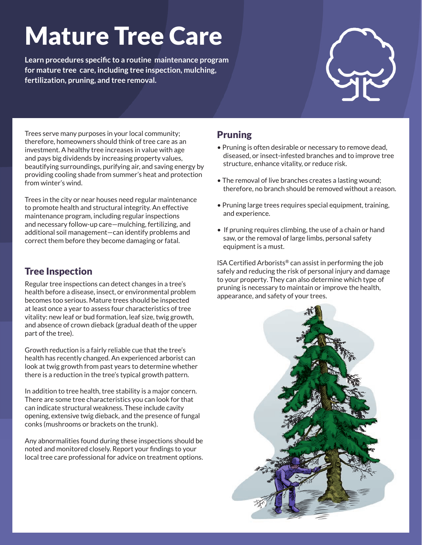# Mature Tree Care

**Learn procedures specific to a routine maintenance program for mature tree care, including tree inspection, mulching, fertilization, pruning, and tree removal.**



Trees serve many purposes in your local community; therefore, homeowners should think of tree care as an investment. A healthy tree increases in value with age and pays big dividends by increasing property values, beautifying surroundings, purifying air, and saving energy by providing cooling shade from summer's heat and protection from winter's wind.

Trees in the city or near houses need regular maintenance to promote health and structural integrity. An effective maintenance program, including regular inspections and necessary follow-up care—mulching, fertilizing, and additional soil management—can identify problems and correct them before they become damaging or fatal.

#### Tree Inspection

Regular tree inspections can detect changes in a tree's health before a disease, insect, or environmental problem becomes too serious. Mature trees should be inspected at least once a year to assess four characteristics of tree vitality: new leaf or bud formation, leaf size, twig growth, and absence of crown dieback (gradual death of the upper part of the tree).

Growth reduction is a fairly reliable cue that the tree's health has recently changed. An experienced arborist can look at twig growth from past years to determine whether there is a reduction in the tree's typical growth pattern.

In addition to tree health, tree stability is a major concern. There are some tree characteristics you can look for that can indicate structural weakness. These include cavity opening, extensive twig dieback, and the presence of fungal conks (mushrooms or brackets on the trunk).

Any abnormalities found during these inspections should be noted and monitored closely. Report your findings to your local tree care professional for advice on treatment options.

### Pruning

- Pruning is often desirable or necessary to remove dead, diseased, or insect-infested branches and to improve tree structure, enhance vitality, or reduce risk.
- The removal of live branches creates a lasting wound; therefore, no branch should be removed without a reason.
- Pruning large trees requires special equipment, training, and experience.
- If pruning requires climbing, the use of a chain or hand saw, or the removal of large limbs, personal safety equipment is a must.

ISA Certified Arborists® can assist in performing the job safely and reducing the risk of personal injury and damage to your property. They can also determine which type of pruning is necessary to maintain or improve the health, appearance, and safety of your trees.